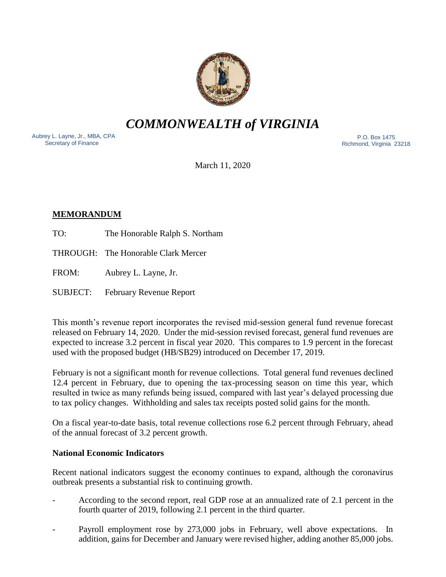

*COMMONWEALTH of VIRGINIA*

Aubrey L. Layne, Jr., MBA, CPA Secretary of Finance

 P.O. Box 1475 Richmond, Virginia 23218

March 11, 2020

# **MEMORANDUM**

- TO: The Honorable Ralph S. Northam
- THROUGH: The Honorable Clark Mercer
- FROM: Aubrey L. Layne, Jr.
- SUBJECT: February Revenue Report

This month's revenue report incorporates the revised mid-session general fund revenue forecast released on February 14, 2020. Under the mid-session revised forecast, general fund revenues are expected to increase 3.2 percent in fiscal year 2020. This compares to 1.9 percent in the forecast used with the proposed budget (HB/SB29) introduced on December 17, 2019.

February is not a significant month for revenue collections. Total general fund revenues declined 12.4 percent in February, due to opening the tax-processing season on time this year, which resulted in twice as many refunds being issued, compared with last year's delayed processing due to tax policy changes. Withholding and sales tax receipts posted solid gains for the month.

On a fiscal year-to-date basis, total revenue collections rose 6.2 percent through February, ahead of the annual forecast of 3.2 percent growth.

## **National Economic Indicators**

Recent national indicators suggest the economy continues to expand, although the coronavirus outbreak presents a substantial risk to continuing growth.

- According to the second report, real GDP rose at an annualized rate of 2.1 percent in the fourth quarter of 2019, following 2.1 percent in the third quarter.
- Payroll employment rose by 273,000 jobs in February, well above expectations. In addition, gains for December and January were revised higher, adding another 85,000 jobs.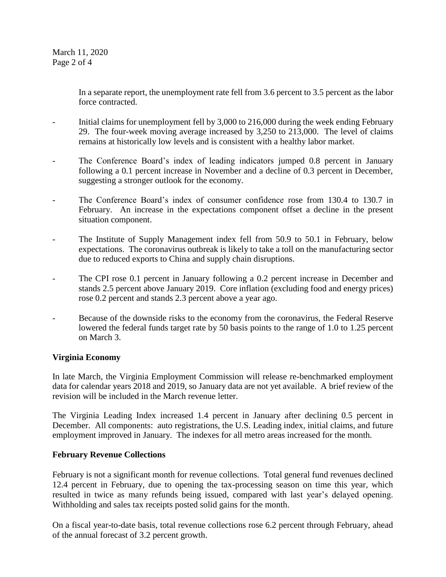In a separate report, the unemployment rate fell from 3.6 percent to 3.5 percent as the labor force contracted.

- Initial claims for unemployment fell by 3,000 to 216,000 during the week ending February 29. The four-week moving average increased by 3,250 to 213,000. The level of claims remains at historically low levels and is consistent with a healthy labor market.
- The Conference Board's index of leading indicators jumped 0.8 percent in January following a 0.1 percent increase in November and a decline of 0.3 percent in December, suggesting a stronger outlook for the economy.
- The Conference Board's index of consumer confidence rose from 130.4 to 130.7 in February. An increase in the expectations component offset a decline in the present situation component.
- The Institute of Supply Management index fell from 50.9 to 50.1 in February, below expectations. The coronavirus outbreak is likely to take a toll on the manufacturing sector due to reduced exports to China and supply chain disruptions.
- The CPI rose 0.1 percent in January following a 0.2 percent increase in December and stands 2.5 percent above January 2019. Core inflation (excluding food and energy prices) rose 0.2 percent and stands 2.3 percent above a year ago.
- Because of the downside risks to the economy from the coronavirus, the Federal Reserve lowered the federal funds target rate by 50 basis points to the range of 1.0 to 1.25 percent on March 3.

## **Virginia Economy**

In late March, the Virginia Employment Commission will release re-benchmarked employment data for calendar years 2018 and 2019, so January data are not yet available. A brief review of the revision will be included in the March revenue letter.

The Virginia Leading Index increased 1.4 percent in January after declining 0.5 percent in December. All components: auto registrations, the U.S. Leading index, initial claims, and future employment improved in January. The indexes for all metro areas increased for the month.

### **February Revenue Collections**

February is not a significant month for revenue collections. Total general fund revenues declined 12.4 percent in February, due to opening the tax-processing season on time this year, which resulted in twice as many refunds being issued, compared with last year's delayed opening. Withholding and sales tax receipts posted solid gains for the month.

On a fiscal year-to-date basis, total revenue collections rose 6.2 percent through February, ahead of the annual forecast of 3.2 percent growth.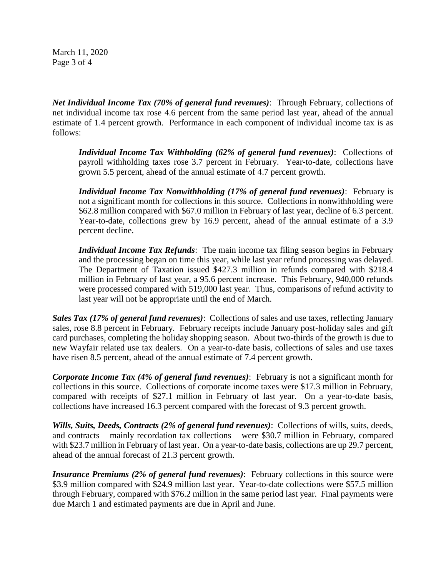March 11, 2020 Page 3 of 4

*Net Individual Income Tax (70% of general fund revenues)*: Through February, collections of net individual income tax rose 4.6 percent from the same period last year, ahead of the annual estimate of 1.4 percent growth. Performance in each component of individual income tax is as follows:

*Individual Income Tax Withholding (62% of general fund revenues)*: Collections of payroll withholding taxes rose 3.7 percent in February. Year-to-date, collections have grown 5.5 percent, ahead of the annual estimate of 4.7 percent growth.

*Individual Income Tax Nonwithholding (17% of general fund revenues)*: February is not a significant month for collections in this source. Collections in nonwithholding were \$62.8 million compared with \$67.0 million in February of last year, decline of 6.3 percent. Year-to-date, collections grew by 16.9 percent, ahead of the annual estimate of a 3.9 percent decline.

*Individual Income Tax Refunds*: The main income tax filing season begins in February and the processing began on time this year, while last year refund processing was delayed. The Department of Taxation issued \$427.3 million in refunds compared with \$218.4 million in February of last year, a 95.6 percent increase. This February, 940,000 refunds were processed compared with 519,000 last year. Thus, comparisons of refund activity to last year will not be appropriate until the end of March.

*Sales Tax (17% of general fund revenues)*: Collections of sales and use taxes, reflecting January sales, rose 8.8 percent in February. February receipts include January post-holiday sales and gift card purchases, completing the holiday shopping season. About two-thirds of the growth is due to new Wayfair related use tax dealers. On a year-to-date basis, collections of sales and use taxes have risen 8.5 percent, ahead of the annual estimate of 7.4 percent growth.

*Corporate Income Tax (4% of general fund revenues)*: February is not a significant month for collections in this source. Collections of corporate income taxes were \$17.3 million in February, compared with receipts of \$27.1 million in February of last year. On a year-to-date basis, collections have increased 16.3 percent compared with the forecast of 9.3 percent growth.

*Wills, Suits, Deeds, Contracts (2% of general fund revenues)*: Collections of wills, suits, deeds, and contracts – mainly recordation tax collections – were \$30.7 million in February, compared with \$23.7 million in February of last year. On a year-to-date basis, collections are up 29.7 percent, ahead of the annual forecast of 21.3 percent growth.

*Insurance Premiums (2% of general fund revenues)*: February collections in this source were \$3.9 million compared with \$24.9 million last year. Year-to-date collections were \$57.5 million through February, compared with \$76.2 million in the same period last year. Final payments were due March 1 and estimated payments are due in April and June.